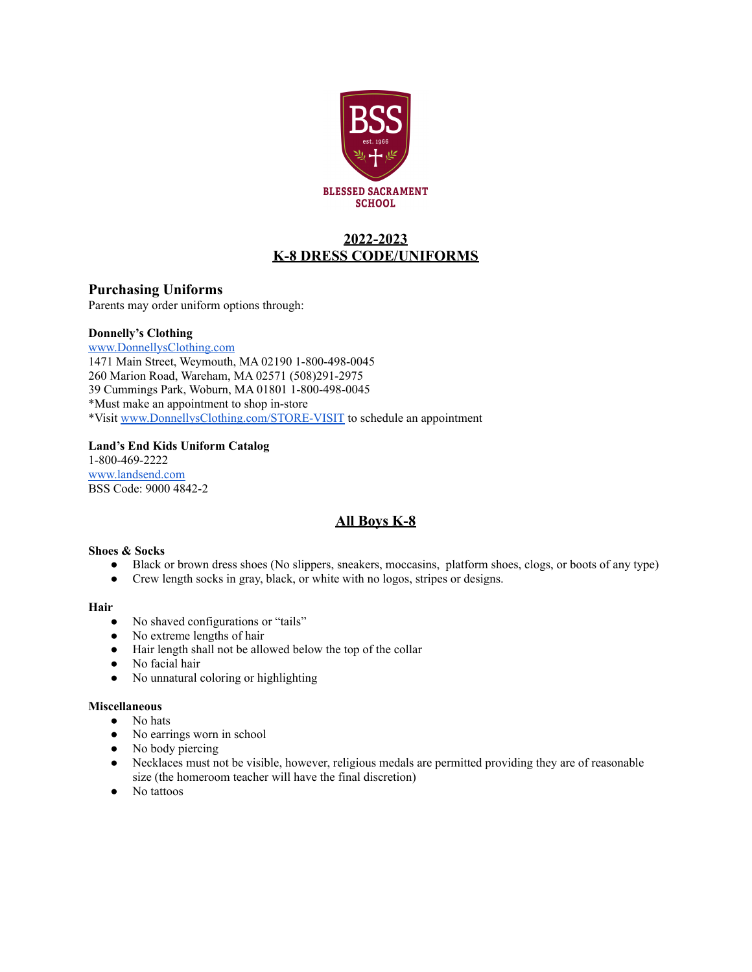

## **2022-2023 K-8 DRESS CODE/UNIFORMS**

#### **Purchasing Uniforms**

Parents may order uniform options through:

#### **Donnelly's Clothing**

[www.DonnellysClothing.com](http://www.donnellysclothing.com) 1471 Main Street, Weymouth, MA 02190 1-800-498-0045 260 Marion Road, Wareham, MA 02571 (508)291-2975 39 Cummings Park, Woburn, MA 01801 1-800-498-0045 \*Must make an appointment to shop in-store \*Visit [www.DonnellysClothing.com/STORE-VISIT](http://www.donnellysclothing.com/STORE-VISIT) to schedule an appointment

#### **Land's End Kids Uniform Catalog**

1-800-469-2222 [www.landsend.com](http://www.landsend.com) BSS Code: 9000 4842-2

### **All Boys K-8**

#### **Shoes & Socks**

- Black or brown dress shoes (No slippers, sneakers, moccasins, platform shoes, clogs, or boots of any type)
- Crew length socks in gray, black, or white with no logos, stripes or designs.

#### **Hair**

- No shaved configurations or "tails"
- No extreme lengths of hair
- Hair length shall not be allowed below the top of the collar
- No facial hair
- No unnatural coloring or highlighting

#### **Miscellaneous**

- No hats
- No earrings worn in school
- No body piercing
- Necklaces must not be visible, however, religious medals are permitted providing they are of reasonable size (the homeroom teacher will have the final discretion)
- No tattoos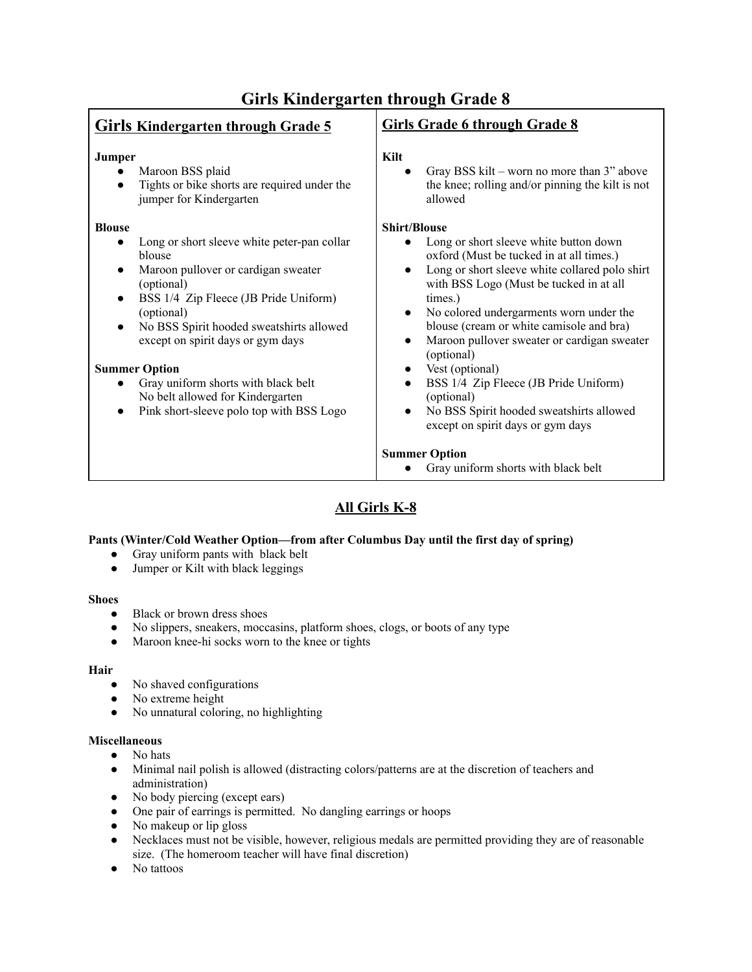| <b>Girls Kindergarten through Grade 5</b>                                                                                                                                                                                                                                                                                                                                                                                                    | <b>Girls Grade 6 through Grade 8</b>                                                                                                                                                                                                                                                                                                                                                                                                                                                                                                                                    |
|----------------------------------------------------------------------------------------------------------------------------------------------------------------------------------------------------------------------------------------------------------------------------------------------------------------------------------------------------------------------------------------------------------------------------------------------|-------------------------------------------------------------------------------------------------------------------------------------------------------------------------------------------------------------------------------------------------------------------------------------------------------------------------------------------------------------------------------------------------------------------------------------------------------------------------------------------------------------------------------------------------------------------------|
| Jumper<br>Maroon BSS plaid<br>Tights or bike shorts are required under the<br>jumper for Kindergarten                                                                                                                                                                                                                                                                                                                                        | Kilt<br>Gray BSS kilt – worn no more than 3" above<br>the knee; rolling and/or pinning the kilt is not<br>allowed                                                                                                                                                                                                                                                                                                                                                                                                                                                       |
| <b>Blouse</b><br>Long or short sleeve white peter-pan collar<br>$\bullet$<br>blouse<br>Maroon pullover or cardigan sweater<br>(optional)<br>BSS 1/4 Zip Fleece (JB Pride Uniform)<br>$\bullet$<br>(optional)<br>No BSS Spirit hooded sweatshirts allowed<br>except on spirit days or gym days<br><b>Summer Option</b><br>Gray uniform shorts with black belt<br>No belt allowed for Kindergarten<br>Pink short-sleeve polo top with BSS Logo | <b>Shirt/Blouse</b><br>Long or short sleeve white button down<br>oxford (Must be tucked in at all times.)<br>Long or short sleeve white collared polo shirt<br>$\bullet$<br>with BSS Logo (Must be tucked in at all<br>times.)<br>No colored undergarments worn under the<br>blouse (cream or white camisole and bra)<br>Maroon pullover sweater or cardigan sweater<br>(optional)<br>Vest (optional)<br>$\bullet$<br>BSS 1/4 Zip Fleece (JB Pride Uniform)<br>$\bullet$<br>(optional)<br>No BSS Spirit hooded sweatshirts allowed<br>except on spirit days or gym days |
|                                                                                                                                                                                                                                                                                                                                                                                                                                              | <b>Summer Option</b><br>Gray uniform shorts with black belt                                                                                                                                                                                                                                                                                                                                                                                                                                                                                                             |
|                                                                                                                                                                                                                                                                                                                                                                                                                                              |                                                                                                                                                                                                                                                                                                                                                                                                                                                                                                                                                                         |

# **All Girls K-8**

#### **Pants (Winter/Cold Weather Option—from after Columbus Day until the first day of spring)**

- Gray uniform pants with black belt
- Jumper or Kilt with black leggings

#### **Shoes**

- Black or brown dress shoes
- No slippers, sneakers, moccasins, platform shoes, clogs, or boots of any type
- Maroon knee-hi socks worn to the knee or tights

#### **Hair**

- **●** No shaved configurations
- No extreme height
- No unnatural coloring, no highlighting

#### **Miscellaneous**

- **●** No hats
- Minimal nail polish is allowed (distracting colors/patterns are at the discretion of teachers and administration)
- No body piercing (except ears)
- One pair of earrings is permitted. No dangling earrings or hoops
- No makeup or lip gloss
- Necklaces must not be visible, however, religious medals are permitted providing they are of reasonable size. (The homeroom teacher will have final discretion)
- No tattoos

# **Girls Kindergarten through Grade 8**